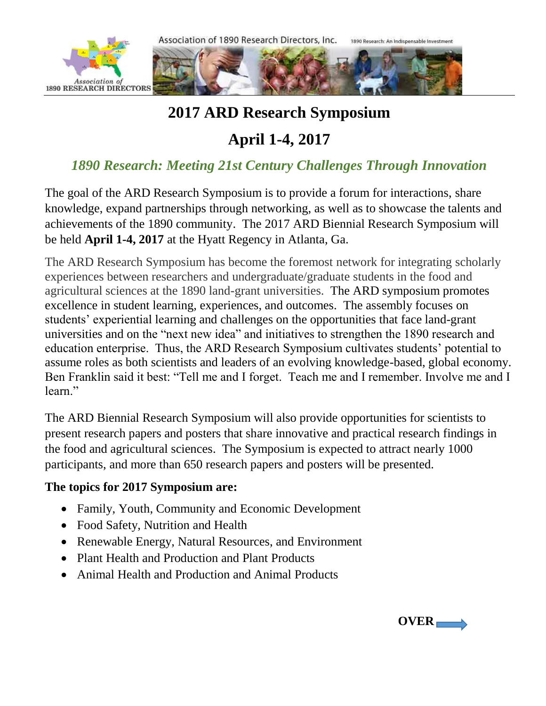

## **2017 ARD Research Symposium**

# **April 1-4, 2017**

### *1890 Research: Meeting 21st Century Challenges Through Innovation*

The goal of the ARD Research Symposium is to provide a forum for interactions, share knowledge, expand partnerships through networking, as well as to showcase the talents and achievements of the 1890 community. The 2017 ARD Biennial Research Symposium will be held **April 1-4, 2017** at the Hyatt Regency in Atlanta, Ga.

The ARD Research Symposium has become the foremost network for integrating scholarly experiences between researchers and undergraduate/graduate students in the food and agricultural sciences at the 1890 land-grant universities. The ARD symposium promotes excellence in student learning, experiences, and outcomes. The assembly focuses on students' experiential learning and challenges on the opportunities that face land-grant universities and on the "next new idea" and initiatives to strengthen the 1890 research and education enterprise. Thus, the ARD Research Symposium cultivates students' potential to assume roles as both scientists and leaders of an evolving knowledge-based, global economy. Ben Franklin said it best: "Tell me and I forget. Teach me and I remember. Involve me and I learn."

The ARD Biennial Research Symposium will also provide opportunities for scientists to present research papers and posters that share innovative and practical research findings in the food and agricultural sciences. The Symposium is expected to attract nearly 1000 participants, and more than 650 research papers and posters will be presented.

### **The topics for 2017 Symposium are:**

- Family, Youth, Community and Economic Development
- Food Safety, Nutrition and Health
- Renewable Energy, Natural Resources, and Environment
- Plant Health and Production and Plant Products
- Animal Health and Production and Animal Products